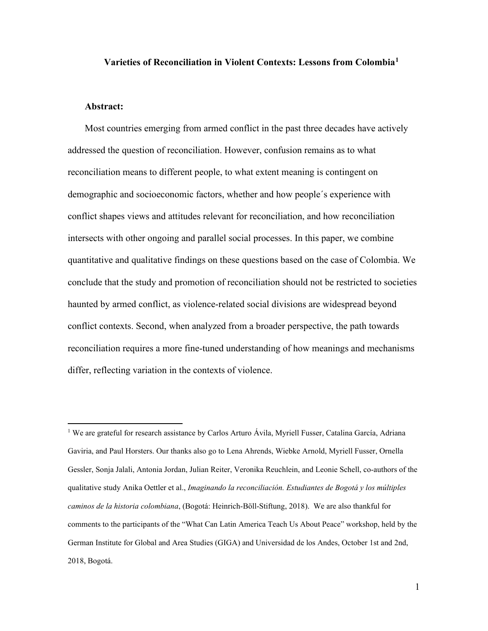## **Varieties of Reconciliation in Violent Contexts: Lessons from Colombia[1](#page-0-0)**

## **Abstract:**

Most countries emerging from armed conflict in the past three decades have actively addressed the question of reconciliation. However, confusion remains as to what reconciliation means to different people, to what extent meaning is contingent on demographic and socioeconomic factors, whether and how people´s experience with conflict shapes views and attitudes relevant for reconciliation, and how reconciliation intersects with other ongoing and parallel social processes. In this paper, we combine quantitative and qualitative findings on these questions based on the case of Colombia. We conclude that the study and promotion of reconciliation should not be restricted to societies haunted by armed conflict, as violence-related social divisions are widespread beyond conflict contexts. Second, when analyzed from a broader perspective, the path towards reconciliation requires a more fine-tuned understanding of how meanings and mechanisms differ, reflecting variation in the contexts of violence.

<span id="page-0-0"></span><sup>1</sup> We are grateful for research assistance by Carlos Arturo Ávila, Myriell Fusser, Catalina García, Adriana Gaviria, and Paul Horsters. Our thanks also go to Lena Ahrends, Wiebke Arnold, Myriell Fusser, Ornella Gessler, Sonja Jalali, Antonia Jordan, Julian Reiter, Veronika Reuchlein, and Leonie Schell, co-authors of the qualitative study Anika Oettler et al., *Imaginando la reconciliación. Estudiantes de Bogotá y los múltiples caminos de la historia colombiana*, (Bogotá: Heinrich-Böll-Stiftung, 2018). We are also thankful for comments to the participants of the "What Can Latin America Teach Us About Peace" workshop, held by the German Institute for Global and Area Studies (GIGA) and Universidad de los Andes, October 1st and 2nd, 2018, Bogotá.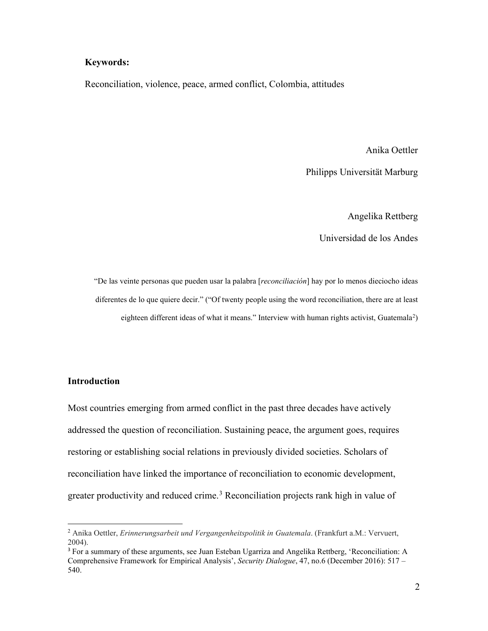# **Keywords:**

Reconciliation, violence, peace, armed conflict, Colombia, attitudes

Anika Oettler

Philipps Universität Marburg

Angelika Rettberg

Universidad de los Andes

"De las veinte personas que pueden usar la palabra [*reconciliación*] hay por lo menos dieciocho ideas diferentes de lo que quiere decir." ("Of twenty people using the word reconciliation, there are at least eighteen different ideas of what it means." Interview with human rights activist, Guatemala<sup>[2](#page-1-0)</sup>)

# **Introduction**

Most countries emerging from armed conflict in the past three decades have actively addressed the question of reconciliation. Sustaining peace, the argument goes, requires restoring or establishing social relations in previously divided societies. Scholars of reconciliation have linked the importance of reconciliation to economic development, greater productivity and reduced crime.<sup>[3](#page-1-1)</sup> Reconciliation projects rank high in value of

<span id="page-1-0"></span><sup>2</sup> Anika Oettler, *Erinnerungsarbeit und Vergangenheitspolitik in Guatemala*. (Frankfurt a.M.: Vervuert, 2004).

<span id="page-1-1"></span><sup>3</sup> For a summary of these arguments, see Juan Esteban Ugarriza and Angelika Rettberg, 'Reconciliation: A Comprehensive Framework for Empirical Analysis', *Security Dialogue*, 47, no.6 (December 2016): 517 – 540.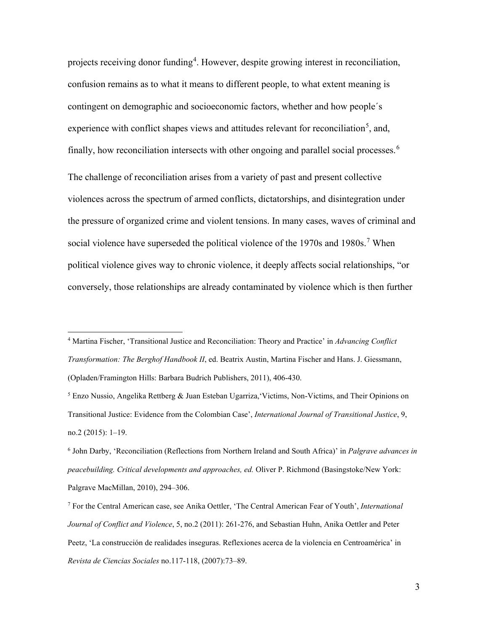projects receiving donor funding<sup>[4](#page-2-0)</sup>. However, despite growing interest in reconciliation, confusion remains as to what it means to different people, to what extent meaning is contingent on demographic and socioeconomic factors, whether and how people´s experience with conflict shapes views and attitudes relevant for reconciliation<sup>[5](#page-2-1)</sup>, and, finally, how reconciliation intersects with other ongoing and parallel social processes.<sup>[6](#page-2-2)</sup> The challenge of reconciliation arises from a variety of past and present collective violences across the spectrum of armed conflicts, dictatorships, and disintegration under the pressure of organized crime and violent tensions. In many cases, waves of criminal and social violence have superseded the political violence of the 19[7](#page-2-3)0s and 1980s.<sup>7</sup> When political violence gives way to chronic violence, it deeply affects social relationships, "or conversely, those relationships are already contaminated by violence which is then further

<span id="page-2-0"></span><sup>4</sup> Martina Fischer, 'Transitional Justice and Reconciliation: Theory and Practice' in *Advancing Conflict Transformation: The Berghof Handbook II*, ed. Beatrix Austin, Martina Fischer and Hans. J. Giessmann, (Opladen/Framington Hills: Barbara Budrich Publishers, 2011), 406-430.

<span id="page-2-1"></span><sup>5</sup> Enzo Nussio, Angelika Rettberg & Juan Esteban Ugarriza,'Victims, Non-Victims, and Their Opinions on Transitional Justice: Evidence from the Colombian Case', *International Journal of Transitional Justice*, 9, no.2 (2015): 1–19.

<span id="page-2-2"></span><sup>6</sup> John Darby, 'Reconciliation (Reflections from Northern Ireland and South Africa)' in *Palgrave advances in peacebuilding. Critical developments and approaches, ed.* Oliver P. Richmond (Basingstoke/New York: Palgrave MacMillan, 2010), 294–306.

<span id="page-2-3"></span><sup>7</sup> For the Central American case, see Anika Oettler, 'The Central American Fear of Youth', *International Journal of Conflict and Violence*, 5, no.2 (2011): 261-276, and Sebastian Huhn, Anika Oettler and Peter Peetz, 'La construcción de realidades inseguras. Reflexiones acerca de la violencia en Centroamérica' in *Revista de Ciencias Sociales* no.117-118, (2007):73–89.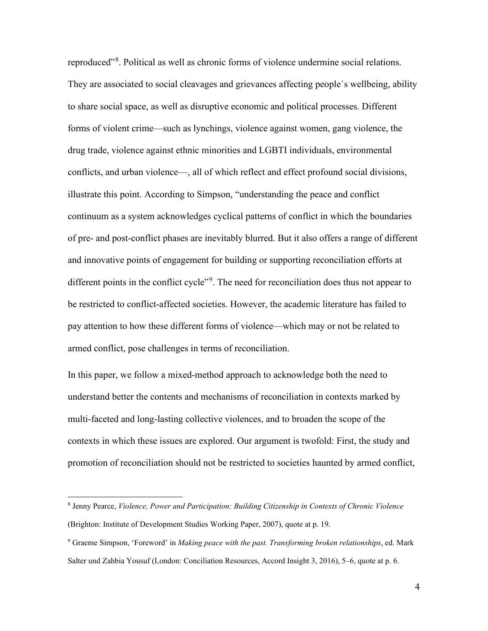reproduced"<sup>[8](#page-3-0)</sup>. Political as well as chronic forms of violence undermine social relations. They are associated to social cleavages and grievances affecting people´s wellbeing, ability to share social space, as well as disruptive economic and political processes. Different forms of violent crime—such as lynchings, violence against women, gang violence, the drug trade, violence against ethnic minorities and LGBTI individuals, environmental conflicts, and urban violence—, all of which reflect and effect profound social divisions, illustrate this point. According to Simpson, "understanding the peace and conflict continuum as a system acknowledges cyclical patterns of conflict in which the boundaries of pre- and post-conflict phases are inevitably blurred. But it also offers a range of different and innovative points of engagement for building or supporting reconciliation efforts at different points in the conflict cycle"<sup>[9](#page-3-1)</sup>. The need for reconciliation does thus not appear to be restricted to conflict-affected societies. However, the academic literature has failed to pay attention to how these different forms of violence—which may or not be related to armed conflict, pose challenges in terms of reconciliation.

In this paper, we follow a mixed-method approach to acknowledge both the need to understand better the contents and mechanisms of reconciliation in contexts marked by multi-faceted and long-lasting collective violences, and to broaden the scope of the contexts in which these issues are explored. Our argument is twofold: First, the study and promotion of reconciliation should not be restricted to societies haunted by armed conflict,

<span id="page-3-0"></span><sup>8</sup> Jenny Pearce, *Violence, Power and Participation: Building Citizenship in Contexts of Chronic Violence* (Brighton: Institute of Development Studies Working Paper, 2007), quote at p. 19.

<span id="page-3-1"></span><sup>9</sup> Graeme Simpson, 'Foreword' in *Making peace with the past. Transforming broken relationships*, ed. Mark Salter und Zahbia Yousuf (London: Conciliation Resources, Accord Insight 3, 2016), 5–6, quote at p. 6.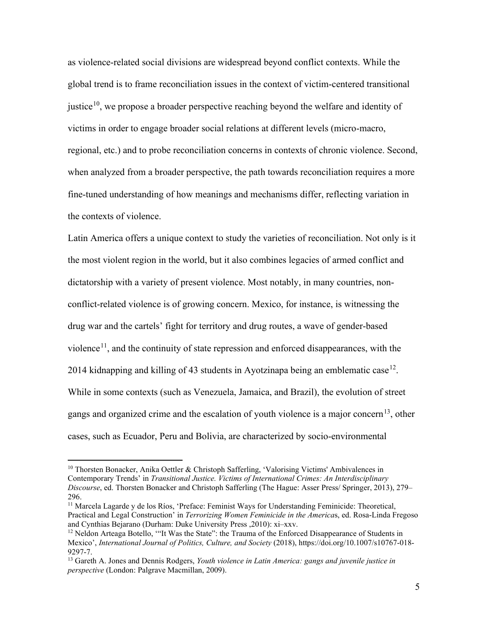as violence-related social divisions are widespread beyond conflict contexts. While the global trend is to frame reconciliation issues in the context of victim-centered transitional justice<sup>[10](#page-4-0)</sup>, we propose a broader perspective reaching beyond the welfare and identity of victims in order to engage broader social relations at different levels (micro-macro, regional, etc.) and to probe reconciliation concerns in contexts of chronic violence. Second, when analyzed from a broader perspective, the path towards reconciliation requires a more fine-tuned understanding of how meanings and mechanisms differ, reflecting variation in the contexts of violence.

Latin America offers a unique context to study the varieties of reconciliation. Not only is it the most violent region in the world, but it also combines legacies of armed conflict and dictatorship with a variety of present violence. Most notably, in many countries, nonconflict-related violence is of growing concern. Mexico, for instance, is witnessing the drug war and the cartels' fight for territory and drug routes, a wave of gender-based violence<sup>[11](#page-4-1)</sup>, and the continuity of state repression and enforced disappearances, with the 2014 kidnapping and killing of 43 students in Ayotzinapa being an emblematic case<sup>[12](#page-4-2)</sup>. While in some contexts (such as Venezuela, Jamaica, and Brazil), the evolution of street gangs and organized crime and the escalation of youth violence is a major concern<sup>13</sup>, other cases, such as Ecuador, Peru and Bolivia, are characterized by socio-environmental

<span id="page-4-0"></span> $10$  Thorsten Bonacker, Anika Oettler & Christoph Safferling, 'Valorising Victims' Ambivalences in Contemporary Trends' in *Transitional Justice. Victims of International Crimes: An Interdisciplinary Discourse*, ed. Thorsten Bonacker and Christoph Safferling (The Hague: Asser Press/ Springer, 2013), 279– 296.

<span id="page-4-1"></span><sup>&</sup>lt;sup>11</sup> Marcela Lagarde y de los Ríos, 'Preface: Feminist Ways for Understanding Feminicide: Theoretical, Practical and Legal Construction' in *Terrorizing Women Feminicide in the America*s, ed. Rosa-Linda Fregoso and Cynthias Bejarano (Durham: Duke University Press ,2010): xi–xxv.

<span id="page-4-2"></span> $12$  Neldon Arteaga Botello, "It Was the State": the Trauma of the Enforced Disappearance of Students in Mexico', *International Journal of Politics, Culture, and Society* (2018), https://doi.org/10.1007/s10767-018- 9297-7.<br><sup>13</sup> Gareth A. Jones and Dennis Rodgers, *Youth violence in Latin America: gangs and juvenile justice in* 

<span id="page-4-3"></span>*perspective* (London: Palgrave Macmillan, 2009).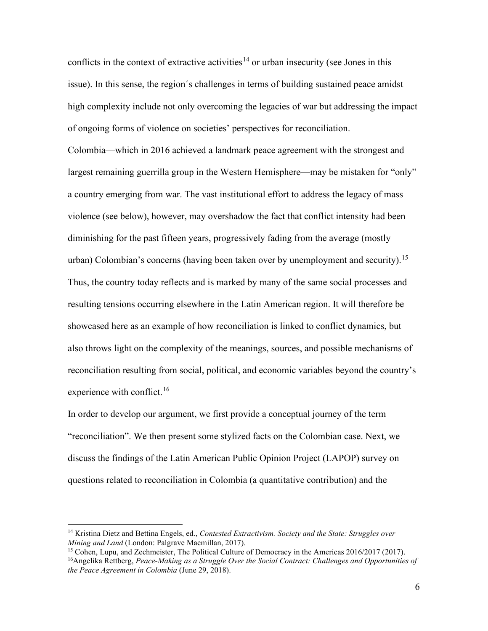conflicts in the context of extractive activities<sup>[14](#page-5-0)</sup> or urban insecurity (see Jones in this issue). In this sense, the region´s challenges in terms of building sustained peace amidst high complexity include not only overcoming the legacies of war but addressing the impact of ongoing forms of violence on societies' perspectives for reconciliation. Colombia—which in 2016 achieved a landmark peace agreement with the strongest and largest remaining guerrilla group in the Western Hemisphere—may be mistaken for "only" a country emerging from war. The vast institutional effort to address the legacy of mass violence (see below), however, may overshadow the fact that conflict intensity had been diminishing for the past fifteen years, progressively fading from the average (mostly urban) Colombian's concerns (having been taken over by unemployment and security).<sup>[15](#page-5-1)</sup> Thus, the country today reflects and is marked by many of the same social processes and resulting tensions occurring elsewhere in the Latin American region. It will therefore be showcased here as an example of how reconciliation is linked to conflict dynamics, but also throws light on the complexity of the meanings, sources, and possible mechanisms of reconciliation resulting from social, political, and economic variables beyond the country's experience with conflict.<sup>[16](#page-5-2)</sup>

In order to develop our argument, we first provide a conceptual journey of the term "reconciliation". We then present some stylized facts on the Colombian case. Next, we discuss the findings of the Latin American Public Opinion Project (LAPOP) survey on questions related to reconciliation in Colombia (a quantitative contribution) and the

<span id="page-5-0"></span><sup>14</sup> Kristina Dietz and Bettina Engels, ed., *Contested Extractivism. Society and the State: Struggles over Mining and Land* (London: Palgrave Macmillan, 2017).

<span id="page-5-2"></span><span id="page-5-1"></span><sup>&</sup>lt;sup>15</sup> Cohen, Lupu, and Zechmeister, The Political Culture of Democracy in the Americas 2016/2017 (2017). 16Angelika Rettberg, *Peace-Making as a Struggle Over the Social Contract: Challenges and Opportunities of the Peace Agreement in Colombia* (June 29, 2018).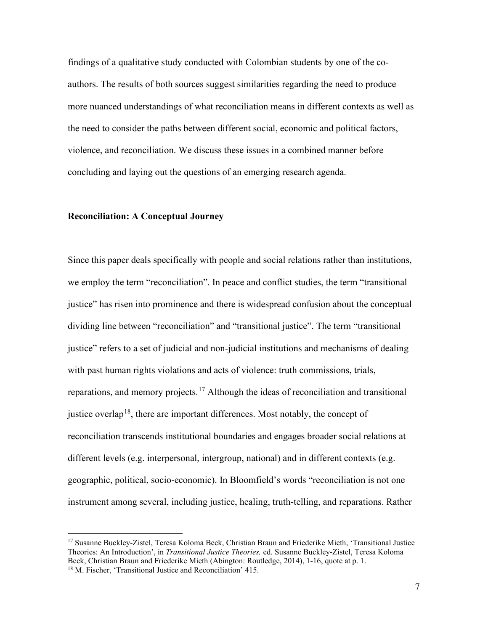findings of a qualitative study conducted with Colombian students by one of the coauthors. The results of both sources suggest similarities regarding the need to produce more nuanced understandings of what reconciliation means in different contexts as well as the need to consider the paths between different social, economic and political factors, violence, and reconciliation. We discuss these issues in a combined manner before concluding and laying out the questions of an emerging research agenda.

## **Reconciliation: A Conceptual Journey**

Since this paper deals specifically with people and social relations rather than institutions, we employ the term "reconciliation". In peace and conflict studies, the term "transitional justice" has risen into prominence and there is widespread confusion about the conceptual dividing line between "reconciliation" and "transitional justice". The term "transitional justice" refers to a set of judicial and non-judicial institutions and mechanisms of dealing with past human rights violations and acts of violence: truth commissions, trials, reparations, and memory projects.<sup>[17](#page-6-0)</sup> Although the ideas of reconciliation and transitional justice overlap<sup>[18](#page-6-1)</sup>, there are important differences. Most notably, the concept of reconciliation transcends institutional boundaries and engages broader social relations at different levels (e.g. interpersonal, intergroup, national) and in different contexts (e.g. geographic, political, socio-economic). In Bloomfield's words "reconciliation is not one instrument among several, including justice, healing, truth-telling, and reparations. Rather

<span id="page-6-0"></span><sup>17</sup> Susanne Buckley-Zistel, Teresa Koloma Beck, Christian Braun and Friederike Mieth, 'Transitional Justice Theories: An Introduction', in *Transitional Justice Theories,* ed. Susanne Buckley-Zistel, Teresa Koloma Beck, Christian Braun and Friederike Mieth (Abington: Routledge, 2014), 1-16, quote at p. 1.

<span id="page-6-1"></span><sup>18</sup> M. Fischer, 'Transitional Justice and Reconciliation' 415.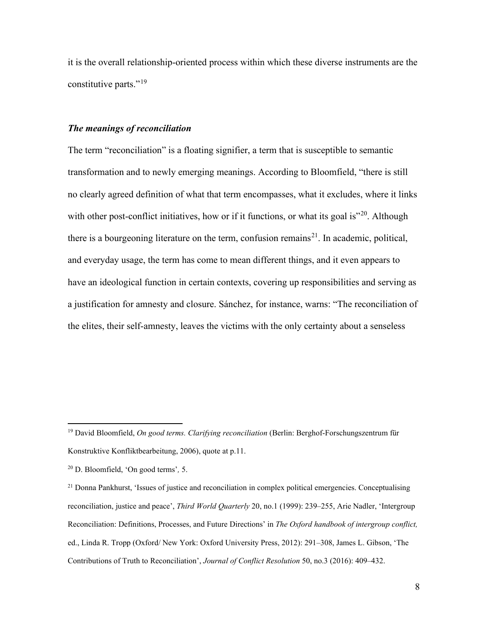it is the overall relationship-oriented process within which these diverse instruments are the constitutive parts."<sup>[19](#page-7-0)</sup>

## *The meanings of reconciliation*

The term "reconciliation" is a floating signifier, a term that is susceptible to semantic transformation and to newly emerging meanings. According to Bloomfield, "there is still no clearly agreed definition of what that term encompasses, what it excludes, where it links with other post-conflict initiatives, how or if it functions, or what its goal is $"^{20}$ . Although there is a bourgeoning literature on the term, confusion remains<sup>[21](#page-7-2)</sup>. In academic, political, and everyday usage, the term has come to mean different things, and it even appears to have an ideological function in certain contexts, covering up responsibilities and serving as a justification for amnesty and closure. Sánchez, for instance, warns: "The reconciliation of the elites, their self-amnesty, leaves the victims with the only certainty about a senseless

<span id="page-7-0"></span><sup>19</sup> David Bloomfield, *On good terms. Clarifying reconciliation* (Berlin: Berghof-Forschungszentrum für Konstruktive Konfliktbearbeitung, 2006), quote at p.11.

<span id="page-7-1"></span><sup>20</sup> D. Bloomfield, 'On good terms'*,* 5.

<span id="page-7-2"></span><sup>&</sup>lt;sup>21</sup> Donna Pankhurst, 'Issues of justice and reconciliation in complex political emergencies. Conceptualising reconciliation, justice and peace', *Third World Quarterly* 20, no.1 (1999): 239–255, Arie Nadler, 'Intergroup Reconciliation: Definitions, Processes, and Future Directions' in *The Oxford handbook of intergroup conflict,*  ed., Linda R. Tropp (Oxford/ New York: Oxford University Press, 2012): 291–308, James L. Gibson, 'The Contributions of Truth to Reconciliation', *Journal of Conflict Resolution* 50, no.3 (2016): 409–432.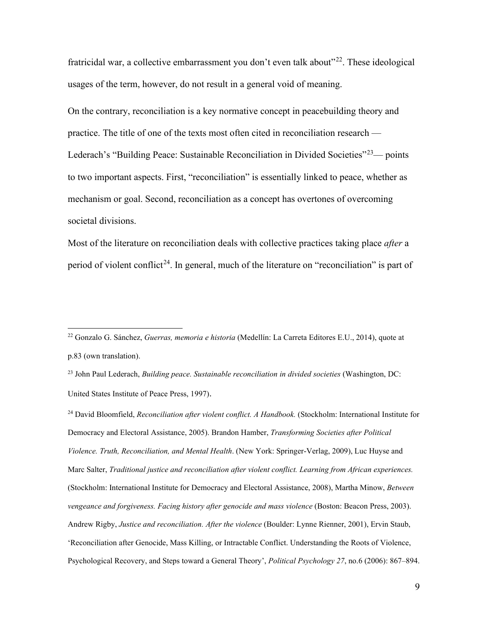fratricidal war, a collective embarrassment you don't even talk about"<sup>22</sup>. These ideological usages of the term, however, do not result in a general void of meaning.

On the contrary, reconciliation is a key normative concept in peacebuilding theory and practice. The title of one of the texts most often cited in reconciliation research — Lederach's "Building Peace: Sustainable Reconciliation in Divided Societies"<sup>23</sup>— points to two important aspects. First, "reconciliation" is essentially linked to peace, whether as mechanism or goal. Second, reconciliation as a concept has overtones of overcoming societal divisions.

Most of the literature on reconciliation deals with collective practices taking place *after* a period of violent conflict<sup>[24](#page-8-2)</sup>. In general, much of the literature on "reconciliation" is part of

<span id="page-8-1"></span><sup>23</sup> John Paul Lederach, *Building peace. Sustainable reconciliation in divided societies* (Washington, DC: United States Institute of Peace Press, 1997).

<span id="page-8-2"></span><sup>24</sup> David Bloomfield, *Reconciliation after violent conflict. A Handbook.* (Stockholm: International Institute for Democracy and Electoral Assistance, 2005). Brandon Hamber, *Transforming Societies after Political Violence. Truth, Reconciliation, and Mental Health*. (New York: Springer-Verlag, 2009), Luc Huyse and Marc Salter, *Traditional justice and reconciliation after violent conflict. Learning from African experiences.*  (Stockholm: International Institute for Democracy and Electoral Assistance, 2008), Martha Minow, *Between vengeance and forgiveness. Facing history after genocide and mass violence* (Boston: Beacon Press, 2003). Andrew Rigby, *Justice and reconciliation. After the violence* (Boulder: Lynne Rienner, 2001), Ervin Staub, 'Reconciliation after Genocide, Mass Killing, or Intractable Conflict. Understanding the Roots of Violence, Psychological Recovery, and Steps toward a General Theory', *Political Psychology 27*, no.6 (2006): 867–894.

<span id="page-8-0"></span><sup>22</sup> Gonzalo G. Sánchez, *Guerras, memoria e historia* (Medellín: La Carreta Editores E.U., 2014), quote at p.83 (own translation).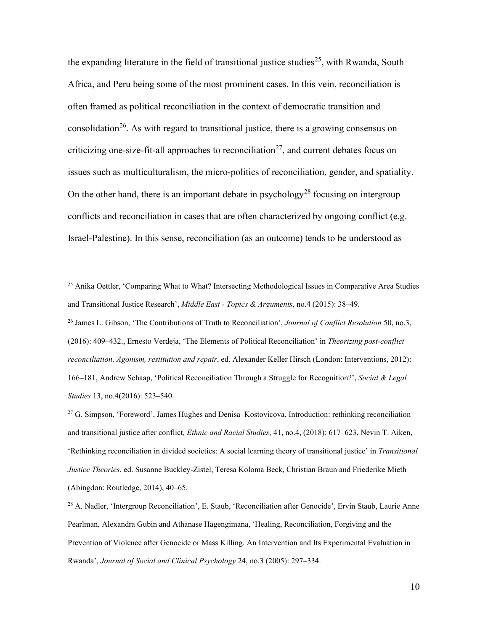the expanding literature in the field of transitional justice studies<sup>[25](#page-9-0)</sup>, with Rwanda, South Africa, and Peru being some of the most prominent cases. In this vein, reconciliation is often framed as political reconciliation in the context of democratic transition and consolidation<sup>[26](#page-9-1)</sup>. As with regard to transitional justice, there is a growing consensus on criticizing one-size-fit-all approaches to reconciliation<sup>[27](#page-9-2)</sup>, and current debates focus on issues such as multiculturalism, the micro-politics of reconciliation, gender, and spatiality. On the other hand, there is an important debate in psychology<sup>[28](#page-9-3)</sup> focusing on intergroup conflicts and reconciliation in cases that are often characterized by ongoing conflict (e.g. Israel-Palestine). In this sense, reconciliation (as an outcome) tends to be understood as

<span id="page-9-1"></span><sup>26</sup> James L. Gibson, 'The Contributions of Truth to Reconciliation', *Journal of Conflict Resolution* 50, no.3, (2016): 409–432., Ernesto Verdeja, 'The Elements of Political Reconciliation' in *Theorizing post-conflict reconciliation. Agonism, restitution and repair*, ed. Alexander Keller Hirsch (London: Interventions, 2012): 166–181, Andrew Schaap, 'Political Reconciliation Through a Struggle for Recognition?', *Social & Legal Studies* 13, no.4(2016): 523–540.

<span id="page-9-0"></span><sup>&</sup>lt;sup>25</sup> Anika Oettler, 'Comparing What to What? Intersecting Methodological Issues in Comparative Area Studies and Transitional Justice Research', *Middle East - Topics & Arguments*, no.4 (2015): 38–49.

<span id="page-9-2"></span><sup>&</sup>lt;sup>27</sup> G. Simpson, 'Foreword', James Hughes and Denisa Kostovicova, Introduction: rethinking reconciliation and transitional justice after conflict*, Ethnic and Racial Studies*, 41, no.4, (2018): 617–623, Nevin T. Aiken, 'Rethinking reconciliation in divided societies: A social learning theory of transitional justice' in *Transitional Justice Theories*, ed. Susanne Buckley-Zistel, Teresa Koloma Beck, Christian Braun and Friederike Mieth (Abingdon: Routledge, 2014), 40–65.

<span id="page-9-3"></span><sup>&</sup>lt;sup>28</sup> A. Nadler, 'Intergroup Reconciliation', E. Staub, 'Reconciliation after Genocide', Ervin Staub, Laurie Anne Pearlman, Alexandra Gubin and Athanase Hagengimana, 'Healing, Reconciliation, Forgiving and the Prevention of Violence after Genocide or Mass Killing. An Intervention and Its Experimental Evaluation in Rwanda', *Journal of Social and Clinical Psychology* 24, no.3 (2005): 297–334.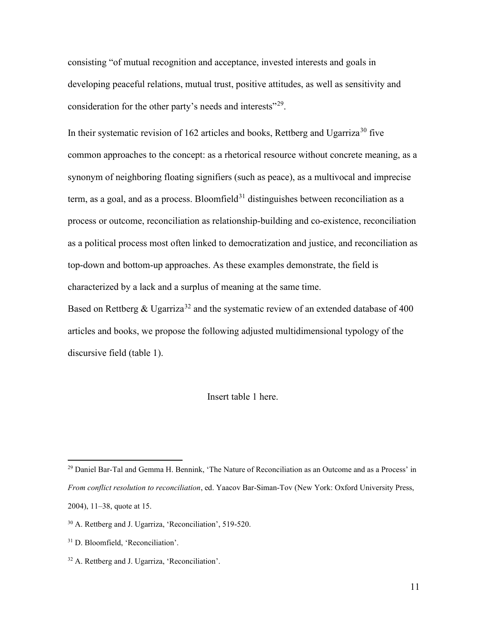consisting "of mutual recognition and acceptance, invested interests and goals in developing peaceful relations, mutual trust, positive attitudes, as well as sensitivity and consideration for the other party's needs and interests"<sup>[29](#page-10-0)</sup>.

In their systematic revision of 162 articles and books, Rettberg and Ugarriza<sup>[30](#page-10-1)</sup> five common approaches to the concept: as a rhetorical resource without concrete meaning, as a synonym of neighboring floating signifiers (such as peace), as a multivocal and imprecise term, as a goal, and as a process. Bloomfield<sup>[31](#page-10-2)</sup> distinguishes between reconciliation as a process or outcome, reconciliation as relationship-building and co-existence, reconciliation as a political process most often linked to democratization and justice, and reconciliation as top-down and bottom-up approaches. As these examples demonstrate, the field is characterized by a lack and a surplus of meaning at the same time.

Based on Rettberg & Ugarriza<sup>[32](#page-10-3)</sup> and the systematic review of an extended database of 400 articles and books, we propose the following adjusted multidimensional typology of the discursive field (table 1).

### Insert table 1 here.

<span id="page-10-0"></span><sup>&</sup>lt;sup>29</sup> Daniel Bar-Tal and Gemma H. Bennink, 'The Nature of Reconciliation as an Outcome and as a Process' in *From conflict resolution to reconciliation*, ed. Yaacov Bar-Siman-Tov (New York: Oxford University Press, 2004), 11–38, quote at 15.

<span id="page-10-1"></span><sup>30</sup> A. Rettberg and J. Ugarriza, 'Reconciliation', 519-520.

<span id="page-10-2"></span><sup>&</sup>lt;sup>31</sup> D. Bloomfield, 'Reconciliation'.

<span id="page-10-3"></span><sup>&</sup>lt;sup>32</sup> A. Rettberg and J. Ugarriza, 'Reconciliation'.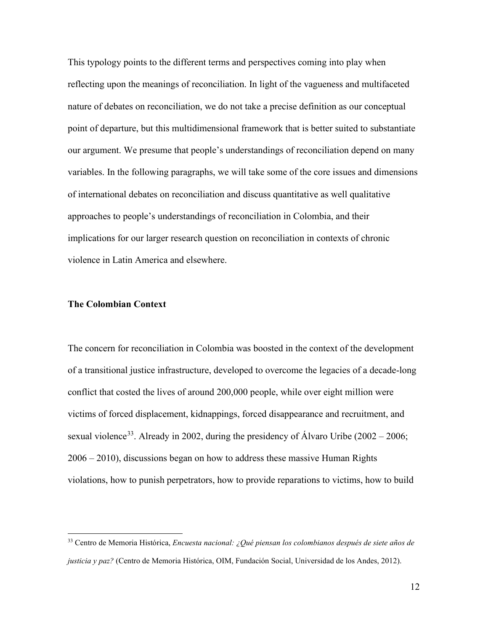This typology points to the different terms and perspectives coming into play when reflecting upon the meanings of reconciliation. In light of the vagueness and multifaceted nature of debates on reconciliation, we do not take a precise definition as our conceptual point of departure, but this multidimensional framework that is better suited to substantiate our argument. We presume that people's understandings of reconciliation depend on many variables. In the following paragraphs, we will take some of the core issues and dimensions of international debates on reconciliation and discuss quantitative as well qualitative approaches to people's understandings of reconciliation in Colombia, and their implications for our larger research question on reconciliation in contexts of chronic violence in Latin America and elsewhere.

## **The Colombian Context**

The concern for reconciliation in Colombia was boosted in the context of the development of a transitional justice infrastructure, developed to overcome the legacies of a decade-long conflict that costed the lives of around 200,000 people, while over eight million were victims of forced displacement, kidnappings, forced disappearance and recruitment, and sexual violence<sup>[33](#page-11-0)</sup>. Already in 2002, during the presidency of Álvaro Uribe (2002 – 2006; 2006 – 2010), discussions began on how to address these massive Human Rights violations, how to punish perpetrators, how to provide reparations to victims, how to build

<span id="page-11-0"></span><sup>33</sup> Centro de Memoria Histórica, *Encuesta nacional: ¿Qué piensan los colombianos después de siete años de justicia y paz?* (Centro de Memoria Histórica, OIM, Fundación Social, Universidad de los Andes, 2012).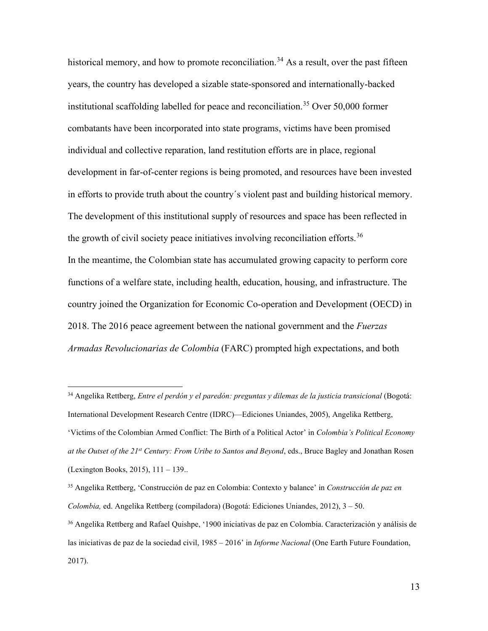historical memory, and how to promote reconciliation.<sup>[34](#page-12-0)</sup> As a result, over the past fifteen years, the country has developed a sizable state-sponsored and internationally-backed institutional scaffolding labelled for peace and reconciliation. [35](#page-12-1) Over 50,000 former combatants have been incorporated into state programs, victims have been promised individual and collective reparation, land restitution efforts are in place, regional development in far-of-center regions is being promoted, and resources have been invested in efforts to provide truth about the country´s violent past and building historical memory. The development of this institutional supply of resources and space has been reflected in the growth of civil society peace initiatives involving reconciliation efforts.<sup>[36](#page-12-2)</sup> In the meantime, the Colombian state has accumulated growing capacity to perform core functions of a welfare state, including health, education, housing, and infrastructure. The country joined the Organization for Economic Co-operation and Development (OECD) in 2018. The 2016 peace agreement between the national government and the *Fuerzas Armadas Revolucionarias de Colombia* (FARC) prompted high expectations, and both

<span id="page-12-0"></span><sup>34</sup> Angelika Rettberg, *Entre el perdón y el paredón: preguntas y dilemas de la justicia transicional* (Bogotá: International Development Research Centre (IDRC)—Ediciones Uniandes, 2005), Angelika Rettberg, 'Victims of the Colombian Armed Conflict: The Birth of a Political Actor' in *Colombia's Political Economy at the Outset of the 21st Century: From Uribe to Santos and Beyond*, eds., Bruce Bagley and Jonathan Rosen (Lexington Books, 2015), 111 – 139..

<span id="page-12-1"></span><sup>35</sup> Angelika Rettberg, 'Construcción de paz en Colombia: Contexto y balance' in *Construcción de paz en Colombia,* ed. Angelika Rettberg (compiladora) (Bogotá: Ediciones Uniandes, 2012), 3 – 50.

<span id="page-12-2"></span><sup>36</sup> Angelika Rettberg and Rafael Quishpe, '1900 iniciativas de paz en Colombia. Caracterización y análisis de las iniciativas de paz de la sociedad civil, 1985 – 2016' in *Informe Nacional* (One Earth Future Foundation, 2017).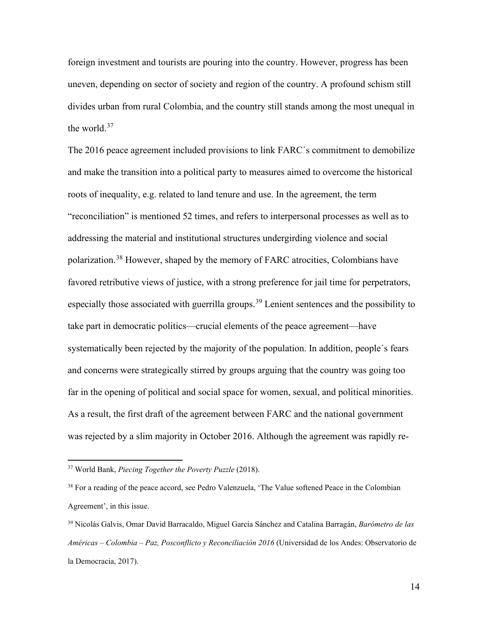foreign investment and tourists are pouring into the country. However, progress has been uneven, depending on sector of society and region of the country. A profound schism still divides urban from rural Colombia, and the country still stands among the most unequal in the world.<sup>[37](#page-13-0)</sup>

The 2016 peace agreement included provisions to link FARC´s commitment to demobilize and make the transition into a political party to measures aimed to overcome the historical roots of inequality, e.g. related to land tenure and use. In the agreement, the term "reconciliation" is mentioned 52 times, and refers to interpersonal processes as well as to addressing the material and institutional structures undergirding violence and social polarization. [38](#page-13-1) However, shaped by the memory of FARC atrocities, Colombians have favored retributive views of justice, with a strong preference for jail time for perpetrators, especially those associated with guerrilla groups.<sup>[39](#page-13-2)</sup> Lenient sentences and the possibility to take part in democratic politics—crucial elements of the peace agreement—have systematically been rejected by the majority of the population. In addition, people´s fears and concerns were strategically stirred by groups arguing that the country was going too far in the opening of political and social space for women, sexual, and political minorities. As a result, the first draft of the agreement between FARC and the national government was rejected by a slim majority in October 2016. Although the agreement was rapidly re-

<span id="page-13-0"></span><sup>37</sup> World Bank, *Piecing Together the Poverty Puzzle* (2018).

<span id="page-13-1"></span><sup>38</sup> For a reading of the peace accord, see Pedro Valenzuela, 'The Value softened Peace in the Colombian Agreement', in this issue.

<span id="page-13-2"></span><sup>39</sup> Nicolás Galvis, Omar David Barracaldo, Miguel García Sánchez and Catalina Barragán, *Barómetro de las Américas – Colombia – Paz, Posconflicto y Reconciliación 2016* (Universidad de los Andes: Observatorio de la Democracia, 2017).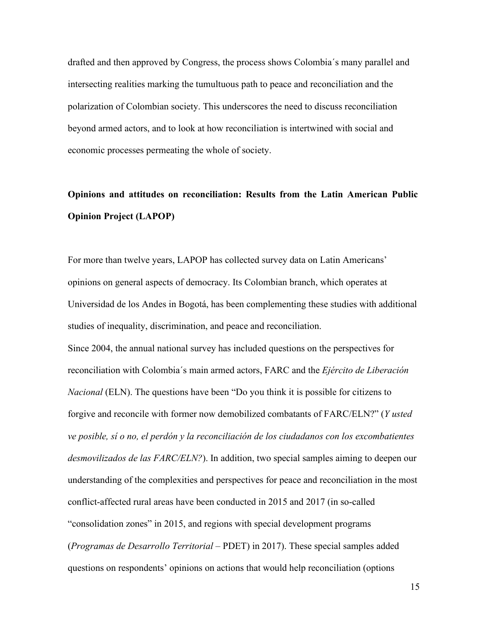drafted and then approved by Congress, the process shows Colombia´s many parallel and intersecting realities marking the tumultuous path to peace and reconciliation and the polarization of Colombian society. This underscores the need to discuss reconciliation beyond armed actors, and to look at how reconciliation is intertwined with social and economic processes permeating the whole of society.

# **Opinions and attitudes on reconciliation: Results from the Latin American Public Opinion Project (LAPOP)**

For more than twelve years, LAPOP has collected survey data on Latin Americans' opinions on general aspects of democracy. Its Colombian branch, which operates at Universidad de los Andes in Bogotá, has been complementing these studies with additional studies of inequality, discrimination, and peace and reconciliation. Since 2004, the annual national survey has included questions on the perspectives for reconciliation with Colombia´s main armed actors, FARC and the *Ejército de Liberación Nacional* (ELN). The questions have been "Do you think it is possible for citizens to forgive and reconcile with former now demobilized combatants of FARC/ELN?" (*Y usted ve posible, sí o no, el perdón y la reconciliación de los ciudadanos con los excombatientes desmovilizados de las FARC/ELN?*). In addition, two special samples aiming to deepen our understanding of the complexities and perspectives for peace and reconciliation in the most conflict-affected rural areas have been conducted in 2015 and 2017 (in so-called "consolidation zones" in 2015, and regions with special development programs (*Programas de Desarrollo Territorial* – PDET) in 2017). These special samples added questions on respondents' opinions on actions that would help reconciliation (options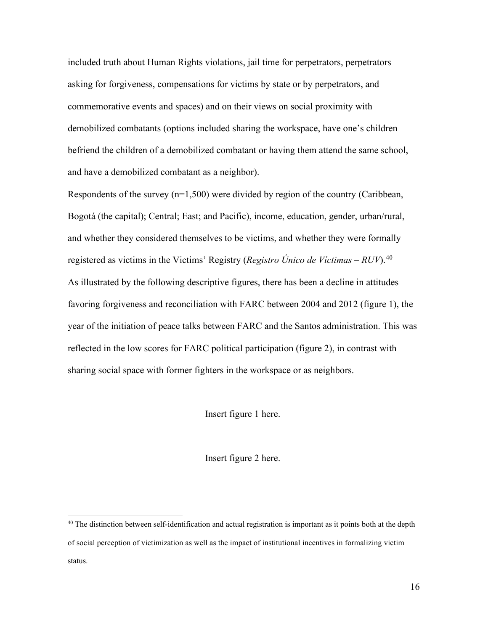included truth about Human Rights violations, jail time for perpetrators, perpetrators asking for forgiveness, compensations for victims by state or by perpetrators, and commemorative events and spaces) and on their views on social proximity with demobilized combatants (options included sharing the workspace, have one's children befriend the children of a demobilized combatant or having them attend the same school, and have a demobilized combatant as a neighbor).

Respondents of the survey  $(n=1,500)$  were divided by region of the country (Caribbean, Bogotá (the capital); Central; East; and Pacific), income, education, gender, urban/rural, and whether they considered themselves to be victims, and whether they were formally registered as victims in the Victims' Registry (*Registro Único de Víctimas – RUV*). [40](#page-15-0) As illustrated by the following descriptive figures, there has been a decline in attitudes favoring forgiveness and reconciliation with FARC between 2004 and 2012 (figure 1), the year of the initiation of peace talks between FARC and the Santos administration. This was reflected in the low scores for FARC political participation (figure 2), in contrast with sharing social space with former fighters in the workspace or as neighbors.

Insert figure 1 here.

Insert figure 2 here.

<span id="page-15-0"></span><sup>&</sup>lt;sup>40</sup> The distinction between self-identification and actual registration is important as it points both at the depth of social perception of victimization as well as the impact of institutional incentives in formalizing victim status.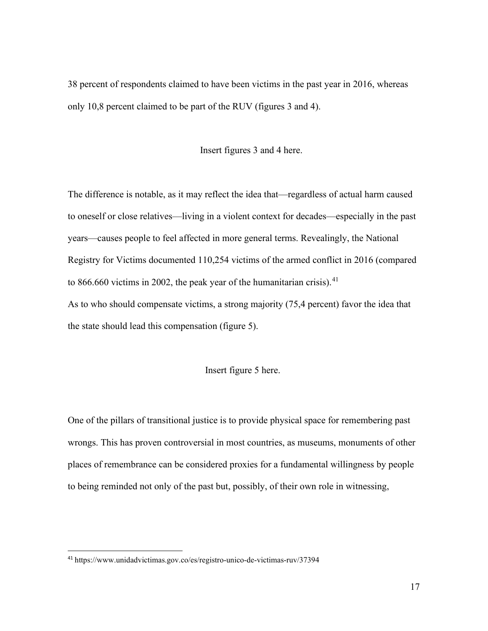38 percent of respondents claimed to have been victims in the past year in 2016, whereas only 10,8 percent claimed to be part of the RUV (figures 3 and 4).

## Insert figures 3 and 4 here.

The difference is notable, as it may reflect the idea that—regardless of actual harm caused to oneself or close relatives—living in a violent context for decades—especially in the past years—causes people to feel affected in more general terms. Revealingly, the National Registry for Victims documented 110,254 victims of the armed conflict in 2016 (compared to 866.660 victims in 2002, the peak year of the humanitarian crisis). $41$ As to who should compensate victims, a strong majority (75,4 percent) favor the idea that the state should lead this compensation (figure 5).

## Insert figure 5 here.

One of the pillars of transitional justice is to provide physical space for remembering past wrongs. This has proven controversial in most countries, as museums, monuments of other places of remembrance can be considered proxies for a fundamental willingness by people to being reminded not only of the past but, possibly, of their own role in witnessing,

<span id="page-16-0"></span><sup>41</sup> https://www.unidadvictimas.gov.co/es/registro-unico-de-victimas-ruv/37394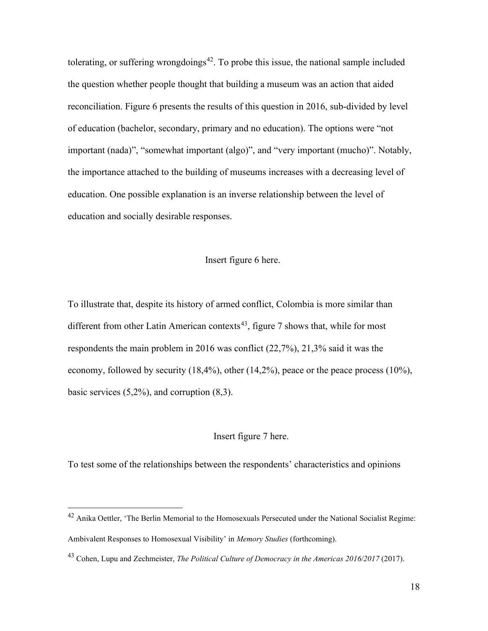tolerating, or suffering wrongdoings<sup>42</sup>. To probe this issue, the national sample included the question whether people thought that building a museum was an action that aided reconciliation. Figure 6 presents the results of this question in 2016, sub-divided by level of education (bachelor, secondary, primary and no education). The options were "not important (nada)", "somewhat important (algo)", and "very important (mucho)". Notably, the importance attached to the building of museums increases with a decreasing level of education. One possible explanation is an inverse relationship between the level of education and socially desirable responses.

## Insert figure 6 here.

To illustrate that, despite its history of armed conflict, Colombia is more similar than different from other Latin American contexts<sup>43</sup>, figure 7 shows that, while for most respondents the main problem in 2016 was conflict (22,7%), 21,3% said it was the economy, followed by security  $(18,4\%)$ , other  $(14,2\%)$ , peace or the peace process  $(10\%)$ , basic services  $(5,2\%)$ , and corruption  $(8,3)$ .

#### Insert figure 7 here.

To test some of the relationships between the respondents' characteristics and opinions

<span id="page-17-0"></span><sup>&</sup>lt;sup>42</sup> Anika Oettler, 'The Berlin Memorial to the Homosexuals Persecuted under the National Socialist Regime: Ambivalent Responses to Homosexual Visibility' in *Memory Studies* (forthcoming).

<span id="page-17-1"></span><sup>43</sup> Cohen, Lupu and Zechmeister, *The Political Culture of Democracy in the Americas 2016/2017* (2017).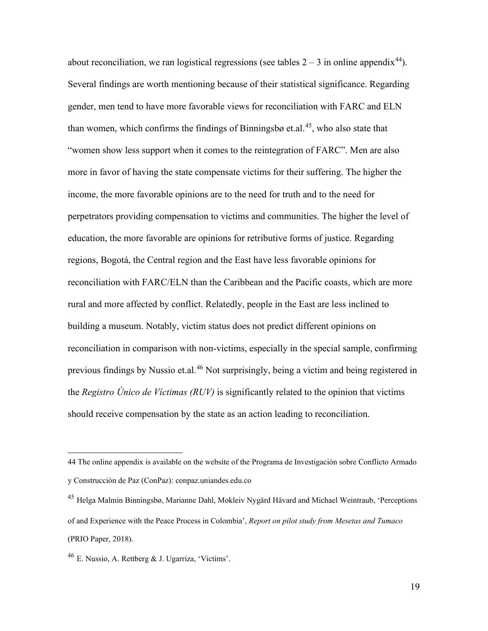about reconciliation, we ran logistical regressions (see tables  $2 - 3$  in online appendix<sup>[44](#page-18-0)</sup>). Several findings are worth mentioning because of their statistical significance. Regarding gender, men tend to have more favorable views for reconciliation with FARC and ELN than women, which confirms the findings of Binningsbø et.al.<sup>[45](#page-18-1)</sup>, who also state that "women show less support when it comes to the reintegration of FARC". Men are also more in favor of having the state compensate victims for their suffering. The higher the income, the more favorable opinions are to the need for truth and to the need for perpetrators providing compensation to victims and communities. The higher the level of education, the more favorable are opinions for retributive forms of justice. Regarding regions, Bogotá, the Central region and the East have less favorable opinions for reconciliation with FARC/ELN than the Caribbean and the Pacific coasts, which are more rural and more affected by conflict. Relatedly, people in the East are less inclined to building a museum. Notably, victim status does not predict different opinions on reconciliation in comparison with non-victims, especially in the special sample, confirming previous findings by Nussio et.al.[46](#page-18-2) Not surprisingly, being a victim and being registered in the *Registro Único de Víctimas (RUV)* is significantly related to the opinion that victims should receive compensation by the state as an action leading to reconciliation.

19

<span id="page-18-0"></span><sup>44</sup> The online appendix is available on the website of the Programa de Investigación sobre Conflicto Armado y Construcción de Paz (ConPaz): conpaz.uniandes.edu.co

<span id="page-18-1"></span><sup>45</sup> Helga Malmin Binningsbø, Marianne Dahl, Mokleiv Nygård Håvard and Michael Weintraub, 'Perceptions of and Experience with the Peace Process in Colombia', *Report on pilot study from Mesetas and Tumaco* (PRIO Paper, 2018).

<span id="page-18-2"></span><sup>46</sup> E. Nussio, A. Rettberg & J. Ugarriza, 'Victims'.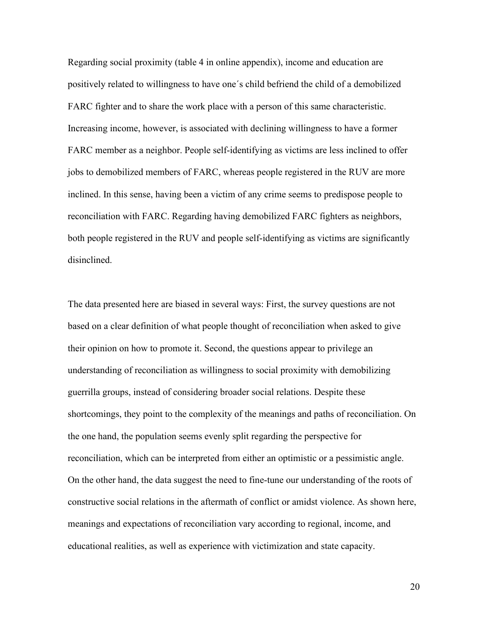Regarding social proximity (table 4 in online appendix), income and education are positively related to willingness to have one´s child befriend the child of a demobilized FARC fighter and to share the work place with a person of this same characteristic. Increasing income, however, is associated with declining willingness to have a former FARC member as a neighbor. People self-identifying as victims are less inclined to offer jobs to demobilized members of FARC, whereas people registered in the RUV are more inclined. In this sense, having been a victim of any crime seems to predispose people to reconciliation with FARC. Regarding having demobilized FARC fighters as neighbors, both people registered in the RUV and people self-identifying as victims are significantly disinclined.

The data presented here are biased in several ways: First, the survey questions are not based on a clear definition of what people thought of reconciliation when asked to give their opinion on how to promote it. Second, the questions appear to privilege an understanding of reconciliation as willingness to social proximity with demobilizing guerrilla groups, instead of considering broader social relations. Despite these shortcomings, they point to the complexity of the meanings and paths of reconciliation. On the one hand, the population seems evenly split regarding the perspective for reconciliation, which can be interpreted from either an optimistic or a pessimistic angle. On the other hand, the data suggest the need to fine-tune our understanding of the roots of constructive social relations in the aftermath of conflict or amidst violence. As shown here, meanings and expectations of reconciliation vary according to regional, income, and educational realities, as well as experience with victimization and state capacity.

20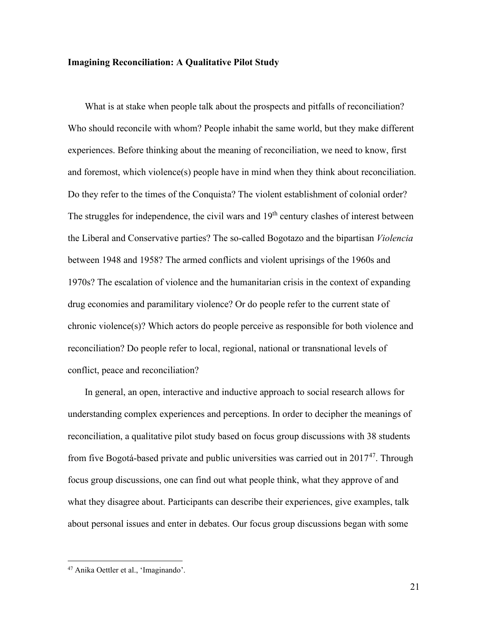## **Imagining Reconciliation: A Qualitative Pilot Study**

What is at stake when people talk about the prospects and pitfalls of reconciliation? Who should reconcile with whom? People inhabit the same world, but they make different experiences. Before thinking about the meaning of reconciliation, we need to know, first and foremost, which violence(s) people have in mind when they think about reconciliation. Do they refer to the times of the Conquista? The violent establishment of colonial order? The struggles for independence, the civil wars and  $19<sup>th</sup>$  century clashes of interest between the Liberal and Conservative parties? The so-called Bogotazo and the bipartisan *Violencia* between 1948 and 1958? The armed conflicts and violent uprisings of the 1960s and 1970s? The escalation of violence and the humanitarian crisis in the context of expanding drug economies and paramilitary violence? Or do people refer to the current state of chronic violence(s)? Which actors do people perceive as responsible for both violence and reconciliation? Do people refer to local, regional, national or transnational levels of conflict, peace and reconciliation?

In general, an open, interactive and inductive approach to social research allows for understanding complex experiences and perceptions. In order to decipher the meanings of reconciliation, a qualitative pilot study based on focus group discussions with 38 students from five Bogotá-based private and public universities was carried out in  $2017^{47}$  $2017^{47}$  $2017^{47}$ . Through focus group discussions, one can find out what people think, what they approve of and what they disagree about. Participants can describe their experiences, give examples, talk about personal issues and enter in debates. Our focus group discussions began with some

<span id="page-20-0"></span><sup>47</sup> Anika Oettler et al., 'Imaginando'.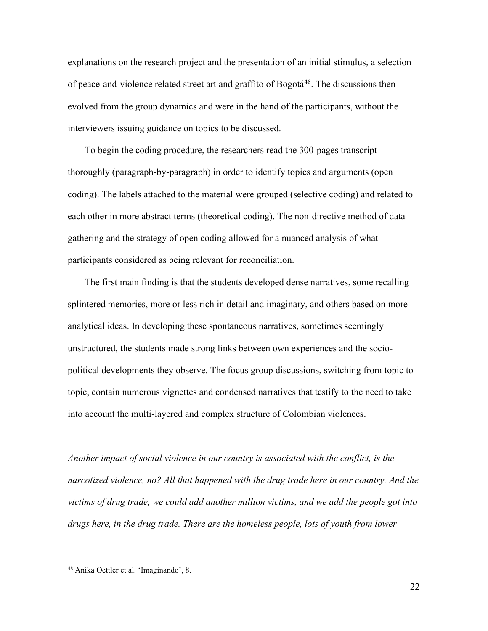explanations on the research project and the presentation of an initial stimulus, a selection of peace-and-violence related street art and graffito of Bogotá<sup>[48](#page-21-0)</sup>. The discussions then evolved from the group dynamics and were in the hand of the participants, without the interviewers issuing guidance on topics to be discussed.

To begin the coding procedure, the researchers read the 300-pages transcript thoroughly (paragraph-by-paragraph) in order to identify topics and arguments (open coding). The labels attached to the material were grouped (selective coding) and related to each other in more abstract terms (theoretical coding). The non-directive method of data gathering and the strategy of open coding allowed for a nuanced analysis of what participants considered as being relevant for reconciliation.

The first main finding is that the students developed dense narratives, some recalling splintered memories, more or less rich in detail and imaginary, and others based on more analytical ideas. In developing these spontaneous narratives, sometimes seemingly unstructured, the students made strong links between own experiences and the sociopolitical developments they observe. The focus group discussions, switching from topic to topic, contain numerous vignettes and condensed narratives that testify to the need to take into account the multi-layered and complex structure of Colombian violences.

*Another impact of social violence in our country is associated with the conflict, is the narcotized violence, no? All that happened with the drug trade here in our country. And the victims of drug trade, we could add another million victims, and we add the people got into drugs here, in the drug trade. There are the homeless people, lots of youth from lower* 

<span id="page-21-0"></span><sup>48</sup> Anika Oettler et al. 'Imaginando', 8.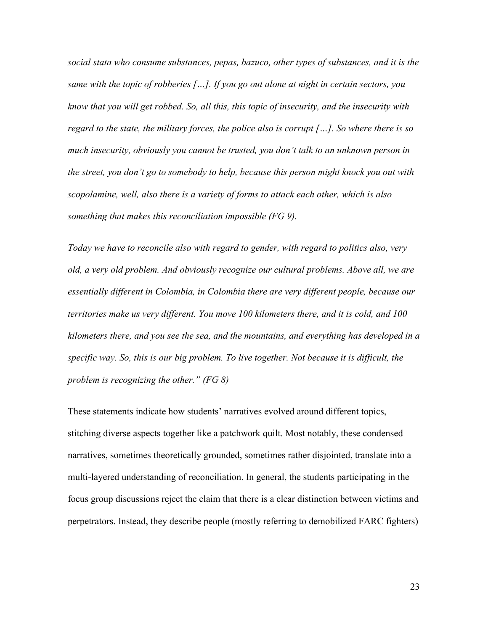*social stata who consume substances, pepas, bazuco, other types of substances, and it is the same with the topic of robberies […]. If you go out alone at night in certain sectors, you know that you will get robbed. So, all this, this topic of insecurity, and the insecurity with regard to the state, the military forces, the police also is corrupt […]. So where there is so much insecurity, obviously you cannot be trusted, you don't talk to an unknown person in the street, you don't go to somebody to help, because this person might knock you out with scopolamine, well, also there is a variety of forms to attack each other, which is also something that makes this reconciliation impossible (FG 9).* 

*Today we have to reconcile also with regard to gender, with regard to politics also, very old, a very old problem. And obviously recognize our cultural problems. Above all, we are essentially different in Colombia, in Colombia there are very different people, because our territories make us very different. You move 100 kilometers there, and it is cold, and 100 kilometers there, and you see the sea, and the mountains, and everything has developed in a specific way. So, this is our big problem. To live together. Not because it is difficult, the problem is recognizing the other." (FG 8)*

These statements indicate how students' narratives evolved around different topics, stitching diverse aspects together like a patchwork quilt. Most notably, these condensed narratives, sometimes theoretically grounded, sometimes rather disjointed, translate into a multi-layered understanding of reconciliation. In general, the students participating in the focus group discussions reject the claim that there is a clear distinction between victims and perpetrators. Instead, they describe people (mostly referring to demobilized FARC fighters)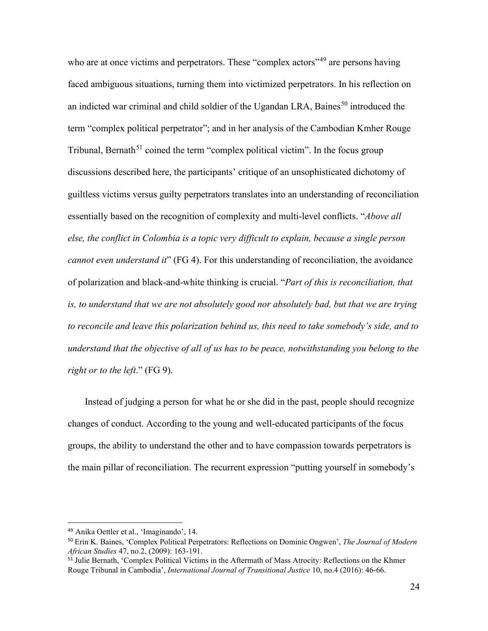who are at once victims and perpetrators. These "complex actors"<sup>[49](#page-23-0)</sup> are persons having faced ambiguous situations, turning them into victimized perpetrators. In his reflection on an indicted war criminal and child soldier of the Ugandan LRA, Baines<sup>[50](#page-23-1)</sup> introduced the term "complex political perpetrator"; and in her analysis of the Cambodian Kmher Rouge Tribunal, Bernath<sup>[51](#page-23-2)</sup> coined the term "complex political victim". In the focus group discussions described here, the participants' critique of an unsophisticated dichotomy of guiltless victims versus guilty perpetrators translates into an understanding of reconciliation essentially based on the recognition of complexity and multi-level conflicts. "*Above all else, the conflict in Colombia is a topic very difficult to explain, because a single person cannot even understand it*" (FG 4). For this understanding of reconciliation, the avoidance of polarization and black-and-white thinking is crucial. "*Part of this is reconciliation, that*  is, to understand that we are not absolutely good nor absolutely bad, but that we are trying *to reconcile and leave this polarization behind us, this need to take somebody's side, and to understand that the objective of all of us has to be peace, notwithstanding you belong to the right or to the left*." (FG 9).

Instead of judging a person for what he or she did in the past, people should recognize changes of conduct. According to the young and well-educated participants of the focus groups, the ability to understand the other and to have compassion towards perpetrators is the main pillar of reconciliation. The recurrent expression "putting yourself in somebody's

<span id="page-23-0"></span><sup>49</sup> Anika Oettler et al., 'Imaginando', 14.

<span id="page-23-1"></span><sup>50</sup> Erin K. Baines, 'Complex Political Perpetrators: Reflections on Dominic Ongwen', *The Journal of Modern African Studies* 47, no.2, (2009): 163-191.

<span id="page-23-2"></span><sup>51</sup> Julie Bernath, 'Complex Political Victims in the Aftermath of Mass Atrocity: Reflections on the Khmer Rouge Tribunal in Cambodia', *International Journal of Transitional Justice* 10, no.4 (2016): 46-66.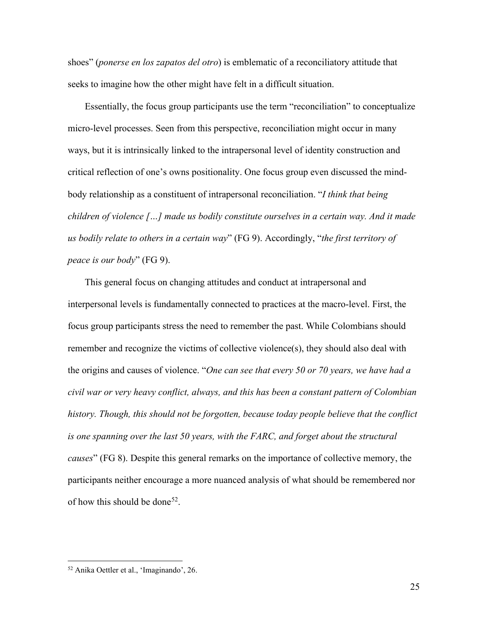shoes" (*ponerse en los zapatos del otro*) is emblematic of a reconciliatory attitude that seeks to imagine how the other might have felt in a difficult situation.

Essentially, the focus group participants use the term "reconciliation" to conceptualize micro-level processes. Seen from this perspective, reconciliation might occur in many ways, but it is intrinsically linked to the intrapersonal level of identity construction and critical reflection of one's owns positionality. One focus group even discussed the mindbody relationship as a constituent of intrapersonal reconciliation. "*I think that being children of violence […] made us bodily constitute ourselves in a certain way. And it made us bodily relate to others in a certain way*" (FG 9). Accordingly, "*the first territory of peace is our body*" (FG 9).

This general focus on changing attitudes and conduct at intrapersonal and interpersonal levels is fundamentally connected to practices at the macro-level. First, the focus group participants stress the need to remember the past. While Colombians should remember and recognize the victims of collective violence(s), they should also deal with the origins and causes of violence. "*One can see that every 50 or 70 years, we have had a civil war or very heavy conflict, always, and this has been a constant pattern of Colombian history. Though, this should not be forgotten, because today people believe that the conflict is one spanning over the last 50 years, with the FARC, and forget about the structural causes*" (FG 8). Despite this general remarks on the importance of collective memory, the participants neither encourage a more nuanced analysis of what should be remembered nor of how this should be done<sup>[52](#page-24-0)</sup>.

<span id="page-24-0"></span><sup>52</sup> Anika Oettler et al., 'Imaginando', 26.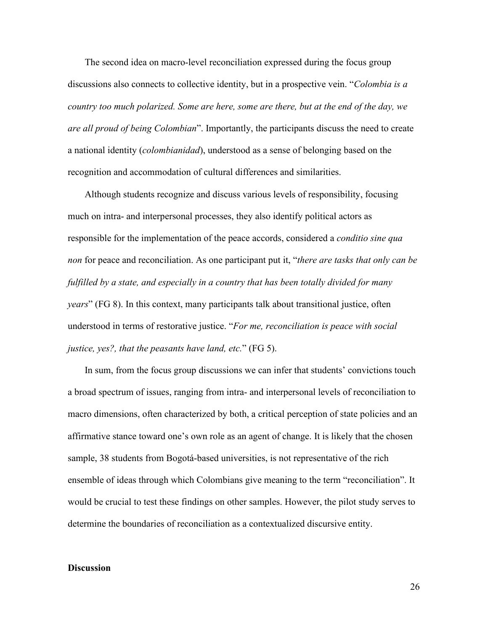The second idea on macro-level reconciliation expressed during the focus group discussions also connects to collective identity, but in a prospective vein. "*Colombia is a country too much polarized. Some are here, some are there, but at the end of the day, we are all proud of being Colombian*". Importantly, the participants discuss the need to create a national identity (*colombianidad*), understood as a sense of belonging based on the recognition and accommodation of cultural differences and similarities.

Although students recognize and discuss various levels of responsibility, focusing much on intra- and interpersonal processes, they also identify political actors as responsible for the implementation of the peace accords, considered a *conditio sine qua non* for peace and reconciliation. As one participant put it, "*there are tasks that only can be fulfilled by a state, and especially in a country that has been totally divided for many years*" (FG 8). In this context, many participants talk about transitional justice, often understood in terms of restorative justice. "*For me, reconciliation is peace with social justice, yes?, that the peasants have land, etc.*" (FG 5).

In sum, from the focus group discussions we can infer that students' convictions touch a broad spectrum of issues, ranging from intra- and interpersonal levels of reconciliation to macro dimensions, often characterized by both, a critical perception of state policies and an affirmative stance toward one's own role as an agent of change. It is likely that the chosen sample, 38 students from Bogotá-based universities, is not representative of the rich ensemble of ideas through which Colombians give meaning to the term "reconciliation". It would be crucial to test these findings on other samples. However, the pilot study serves to determine the boundaries of reconciliation as a contextualized discursive entity.

#### **Discussion**

26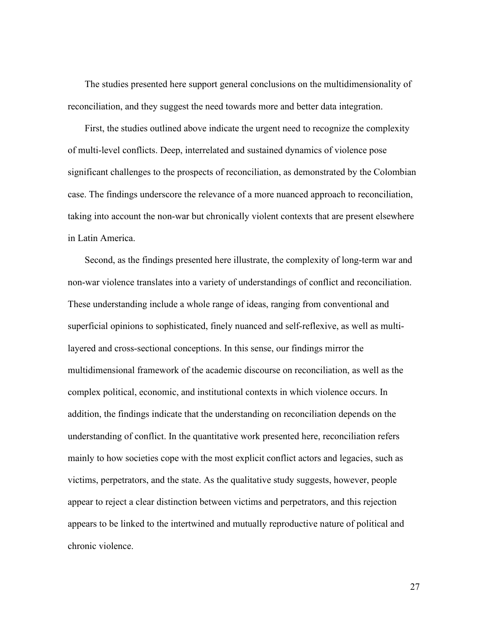The studies presented here support general conclusions on the multidimensionality of reconciliation, and they suggest the need towards more and better data integration.

First, the studies outlined above indicate the urgent need to recognize the complexity of multi-level conflicts. Deep, interrelated and sustained dynamics of violence pose significant challenges to the prospects of reconciliation, as demonstrated by the Colombian case. The findings underscore the relevance of a more nuanced approach to reconciliation, taking into account the non-war but chronically violent contexts that are present elsewhere in Latin America.

Second, as the findings presented here illustrate, the complexity of long-term war and non-war violence translates into a variety of understandings of conflict and reconciliation. These understanding include a whole range of ideas, ranging from conventional and superficial opinions to sophisticated, finely nuanced and self-reflexive, as well as multilayered and cross-sectional conceptions. In this sense, our findings mirror the multidimensional framework of the academic discourse on reconciliation, as well as the complex political, economic, and institutional contexts in which violence occurs. In addition, the findings indicate that the understanding on reconciliation depends on the understanding of conflict. In the quantitative work presented here, reconciliation refers mainly to how societies cope with the most explicit conflict actors and legacies, such as victims, perpetrators, and the state. As the qualitative study suggests, however, people appear to reject a clear distinction between victims and perpetrators, and this rejection appears to be linked to the intertwined and mutually reproductive nature of political and chronic violence.

27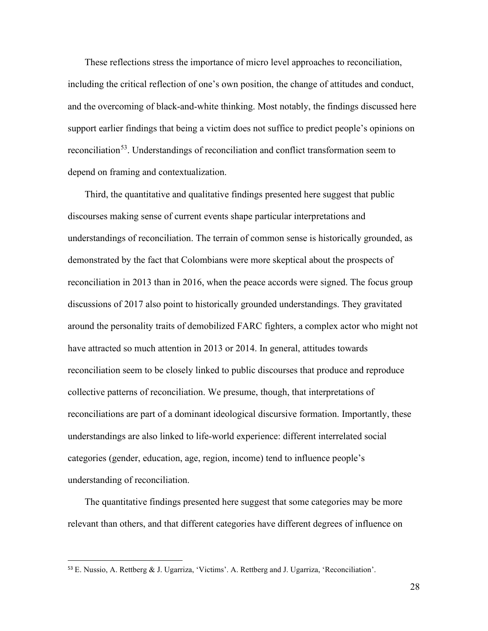These reflections stress the importance of micro level approaches to reconciliation, including the critical reflection of one's own position, the change of attitudes and conduct, and the overcoming of black-and-white thinking. Most notably, the findings discussed here support earlier findings that being a victim does not suffice to predict people's opinions on reconciliation<sup>53</sup>. Understandings of reconciliation and conflict transformation seem to depend on framing and contextualization.

Third, the quantitative and qualitative findings presented here suggest that public discourses making sense of current events shape particular interpretations and understandings of reconciliation. The terrain of common sense is historically grounded, as demonstrated by the fact that Colombians were more skeptical about the prospects of reconciliation in 2013 than in 2016, when the peace accords were signed. The focus group discussions of 2017 also point to historically grounded understandings. They gravitated around the personality traits of demobilized FARC fighters, a complex actor who might not have attracted so much attention in 2013 or 2014. In general, attitudes towards reconciliation seem to be closely linked to public discourses that produce and reproduce collective patterns of reconciliation. We presume, though, that interpretations of reconciliations are part of a dominant ideological discursive formation. Importantly, these understandings are also linked to life-world experience: different interrelated social categories (gender, education, age, region, income) tend to influence people's understanding of reconciliation.

The quantitative findings presented here suggest that some categories may be more relevant than others, and that different categories have different degrees of influence on

<span id="page-27-0"></span><sup>53</sup> E. Nussio, A. Rettberg & J. Ugarriza, 'Victims'. A. Rettberg and J. Ugarriza, 'Reconciliation'.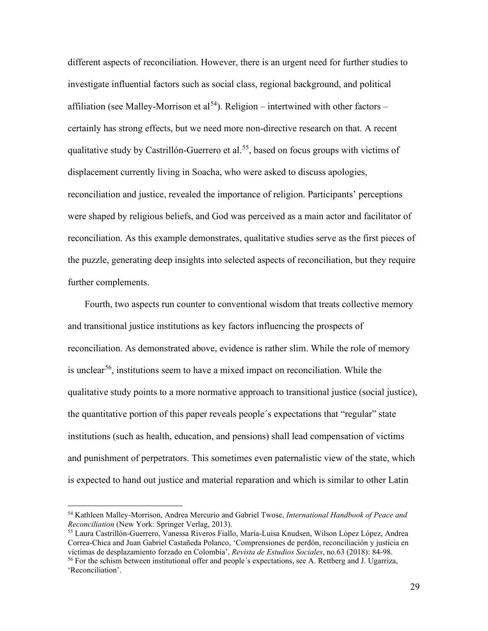different aspects of reconciliation. However, there is an urgent need for further studies to investigate influential factors such as social class, regional background, and political affiliation (see Malley-Morrison et al<sup>[54](#page-28-0)</sup>). Religion – intertwined with other factors – certainly has strong effects, but we need more non-directive research on that. A recent qualitative study by Castrillón-Guerrero et al.<sup>[55](#page-28-1)</sup>, based on focus groups with victims of displacement currently living in Soacha, who were asked to discuss apologies, reconciliation and justice, revealed the importance of religion. Participants' perceptions were shaped by religious beliefs, and God was perceived as a main actor and facilitator of reconciliation. As this example demonstrates, qualitative studies serve as the first pieces of the puzzle, generating deep insights into selected aspects of reconciliation, but they require further complements.

Fourth, two aspects run counter to conventional wisdom that treats collective memory and transitional justice institutions as key factors influencing the prospects of reconciliation. As demonstrated above, evidence is rather slim. While the role of memory is unclear<sup>[56](#page-28-2)</sup>, institutions seem to have a mixed impact on reconciliation. While the qualitative study points to a more normative approach to transitional justice (social justice), the quantitative portion of this paper reveals people´s expectations that "regular" state institutions (such as health, education, and pensions) shall lead compensation of victims and punishment of perpetrators. This sometimes even paternalistic view of the state, which is expected to hand out justice and material reparation and which is similar to other Latin

<span id="page-28-0"></span><sup>54</sup> Kathleen Malley-Morrison, Andrea Mercurio and Gabriel Twose, *International Handbook of Peace and Reconciliation* (New York: Springer Verlag, 2013).

<span id="page-28-2"></span><span id="page-28-1"></span><sup>55</sup> Laura Castrillón-Guerrero, Vanessa Riveros Fiallo, María-Luisa Knudsen, Wilson López López, Andrea Correa-Chica and Juan Gabriel Castañeda Polanco, 'Comprensiones de perdón, reconciliación y justicia en víctimas de desplazamiento forzado en Colombia', *Revista de Estudios Sociales*, no.63 (2018): 84-98. <sup>56</sup> For the schism between institutional offer and people's expectations, see A. Rettberg and J. Ugarriza,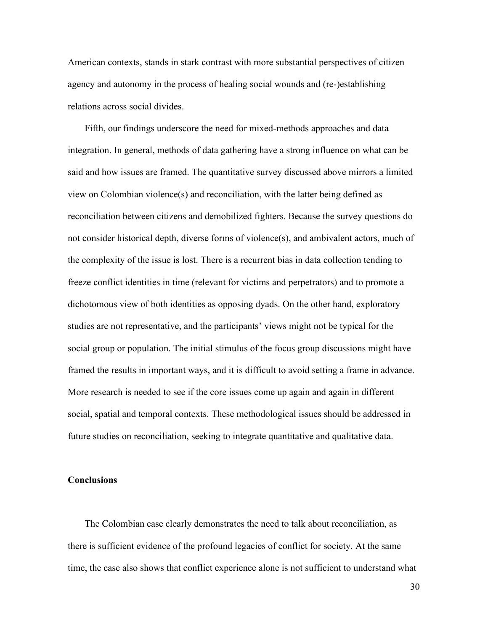American contexts, stands in stark contrast with more substantial perspectives of citizen agency and autonomy in the process of healing social wounds and (re-)establishing relations across social divides.

Fifth, our findings underscore the need for mixed-methods approaches and data integration. In general, methods of data gathering have a strong influence on what can be said and how issues are framed. The quantitative survey discussed above mirrors a limited view on Colombian violence(s) and reconciliation, with the latter being defined as reconciliation between citizens and demobilized fighters. Because the survey questions do not consider historical depth, diverse forms of violence(s), and ambivalent actors, much of the complexity of the issue is lost. There is a recurrent bias in data collection tending to freeze conflict identities in time (relevant for victims and perpetrators) and to promote a dichotomous view of both identities as opposing dyads. On the other hand, exploratory studies are not representative, and the participants' views might not be typical for the social group or population. The initial stimulus of the focus group discussions might have framed the results in important ways, and it is difficult to avoid setting a frame in advance. More research is needed to see if the core issues come up again and again in different social, spatial and temporal contexts. These methodological issues should be addressed in future studies on reconciliation, seeking to integrate quantitative and qualitative data.

## **Conclusions**

The Colombian case clearly demonstrates the need to talk about reconciliation, as there is sufficient evidence of the profound legacies of conflict for society. At the same time, the case also shows that conflict experience alone is not sufficient to understand what

30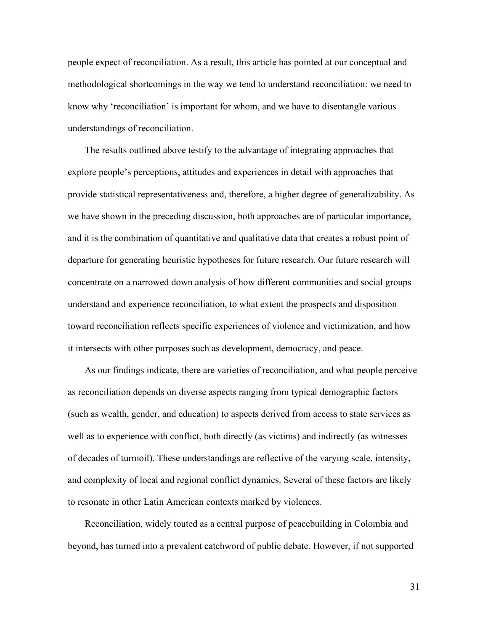people expect of reconciliation. As a result, this article has pointed at our conceptual and methodological shortcomings in the way we tend to understand reconciliation: we need to know why 'reconciliation' is important for whom, and we have to disentangle various understandings of reconciliation.

The results outlined above testify to the advantage of integrating approaches that explore people's perceptions, attitudes and experiences in detail with approaches that provide statistical representativeness and, therefore, a higher degree of generalizability. As we have shown in the preceding discussion, both approaches are of particular importance, and it is the combination of quantitative and qualitative data that creates a robust point of departure for generating heuristic hypotheses for future research. Our future research will concentrate on a narrowed down analysis of how different communities and social groups understand and experience reconciliation, to what extent the prospects and disposition toward reconciliation reflects specific experiences of violence and victimization, and how it intersects with other purposes such as development, democracy, and peace.

As our findings indicate, there are varieties of reconciliation, and what people perceive as reconciliation depends on diverse aspects ranging from typical demographic factors (such as wealth, gender, and education) to aspects derived from access to state services as well as to experience with conflict, both directly (as victims) and indirectly (as witnesses of decades of turmoil). These understandings are reflective of the varying scale, intensity, and complexity of local and regional conflict dynamics. Several of these factors are likely to resonate in other Latin American contexts marked by violences.

Reconciliation, widely touted as a central purpose of peacebuilding in Colombia and beyond, has turned into a prevalent catchword of public debate. However, if not supported

31